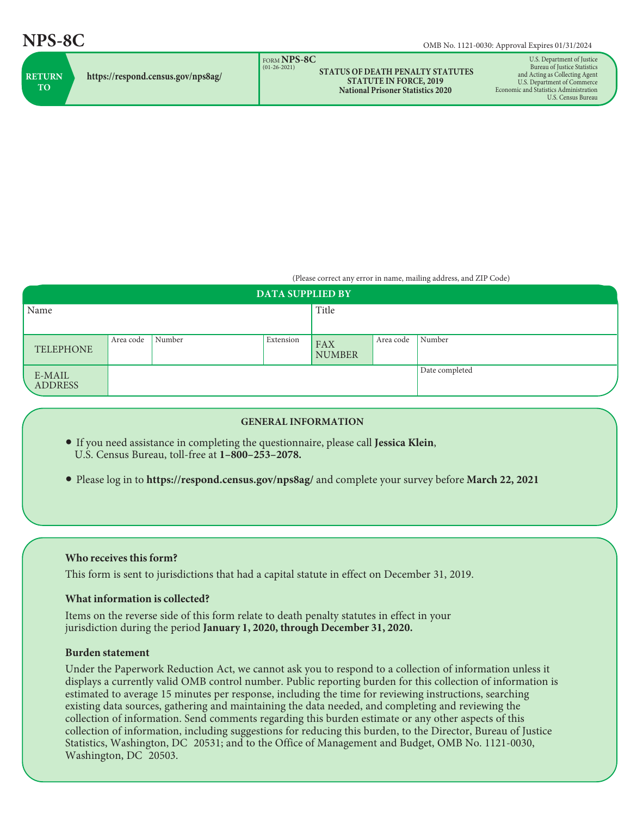| FORM NPS-8C<br>$(01-26-2021)$<br><b>STATUS OF DEATH PENALTY STATUTES</b><br><b>RETURN</b><br>https://respond.census.gov/nps8ag/<br><b>STATUTE IN FORCE, 2019</b><br><b>TO</b><br><b>National Prisoner Statistics 2020</b> | U.S. Department of Justice<br>Bureau of Justice Statistics<br>and Acting as Collecting Agent<br>U.S. Department of Commerce<br>Economic and Statistics Administration<br>U.S. Census Bureau |
|---------------------------------------------------------------------------------------------------------------------------------------------------------------------------------------------------------------------------|---------------------------------------------------------------------------------------------------------------------------------------------------------------------------------------------|
|---------------------------------------------------------------------------------------------------------------------------------------------------------------------------------------------------------------------------|---------------------------------------------------------------------------------------------------------------------------------------------------------------------------------------------|

(Please correct any error in name, mailing address, and ZIP Code)

| <b>DATA SUPPLIED BY</b>  |           |        |           |                             |           |                |  |  |
|--------------------------|-----------|--------|-----------|-----------------------------|-----------|----------------|--|--|
| Name                     |           |        |           | Title                       |           |                |  |  |
|                          |           |        |           |                             |           |                |  |  |
| <b>TELEPHONE</b>         | Area code | Number | Extension | <b>FAX</b><br><b>NUMBER</b> | Area code | Number         |  |  |
| E-MAIL<br><b>ADDRESS</b> |           |        |           |                             |           | Date completed |  |  |

### **GENERAL INFORMATION**

- If you need assistance in completing the questionnaire, please call **Jessica Klein**, U.S. Census Bureau, toll-free at **1–800–253–2078.**
- Please log in to **https://respond.census.gov/nps8ag/** and complete your survey before **March 22, 2021**

# **Who receives this form?**

This form is sent to jurisdictions that had a capital statute in effect on December 31, 2019.

# **What information is collected?**

Items on the reverse side of this form relate to death penalty statutes in effect in your jurisdiction during the period **January 1, 2020, through December 31, 2020.**

#### **Burden statement**

Under the Paperwork Reduction Act, we cannot ask you to respond to a collection of information unless it displays a currently valid OMB control number. Public reporting burden for this collection of information is estimated to average 15 minutes per response, including the time for reviewing instructions, searching existing data sources, gathering and maintaining the data needed, and completing and reviewing the collection of information. Send comments regarding this burden estimate or any other aspects of this collection of information, including suggestions for reducing this burden, to the Director, Bureau of Justice Statistics, Washington, DC 20531; and to the Office of Management and Budget, OMB No. 1121-0030, Washington, DC 20503.